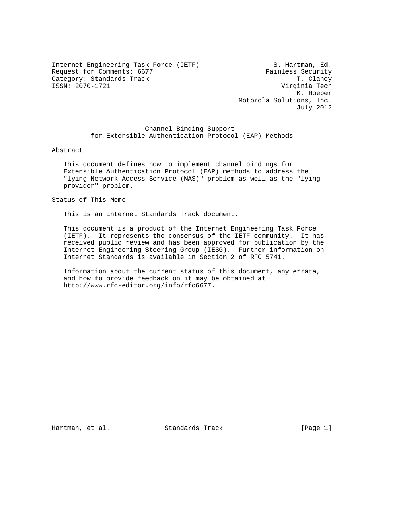Internet Engineering Task Force (IETF) S. Hartman, Ed. Request for Comments: 6677 <br>Category: Standards Track Track Track Track Track T. Clancy Category: Standards Track ISSN: 2070-1721 Virginia Tech

 K. Hoeper Motorola Solutions, Inc. July 2012

 Channel-Binding Support for Extensible Authentication Protocol (EAP) Methods

Abstract

 This document defines how to implement channel bindings for Extensible Authentication Protocol (EAP) methods to address the "lying Network Access Service (NAS)" problem as well as the "lying provider" problem.

Status of This Memo

This is an Internet Standards Track document.

 This document is a product of the Internet Engineering Task Force (IETF). It represents the consensus of the IETF community. It has received public review and has been approved for publication by the Internet Engineering Steering Group (IESG). Further information on Internet Standards is available in Section 2 of RFC 5741.

 Information about the current status of this document, any errata, and how to provide feedback on it may be obtained at http://www.rfc-editor.org/info/rfc6677.

Hartman, et al. Standards Track [Page 1]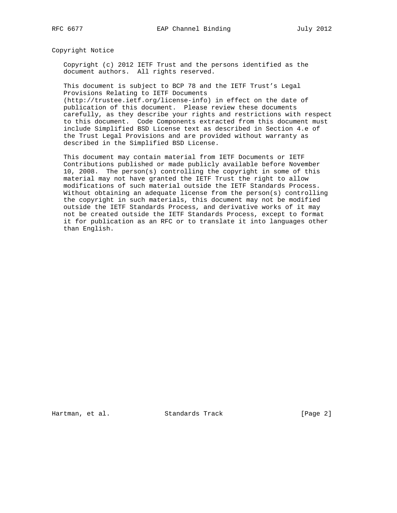Copyright Notice

 Copyright (c) 2012 IETF Trust and the persons identified as the document authors. All rights reserved.

 This document is subject to BCP 78 and the IETF Trust's Legal Provisions Relating to IETF Documents (http://trustee.ietf.org/license-info) in effect on the date of

 publication of this document. Please review these documents carefully, as they describe your rights and restrictions with respect to this document. Code Components extracted from this document must include Simplified BSD License text as described in Section 4.e of the Trust Legal Provisions and are provided without warranty as described in the Simplified BSD License.

 This document may contain material from IETF Documents or IETF Contributions published or made publicly available before November 10, 2008. The person(s) controlling the copyright in some of this material may not have granted the IETF Trust the right to allow modifications of such material outside the IETF Standards Process. Without obtaining an adequate license from the person(s) controlling the copyright in such materials, this document may not be modified outside the IETF Standards Process, and derivative works of it may not be created outside the IETF Standards Process, except to format it for publication as an RFC or to translate it into languages other than English.

Hartman, et al. Standards Track [Page 2]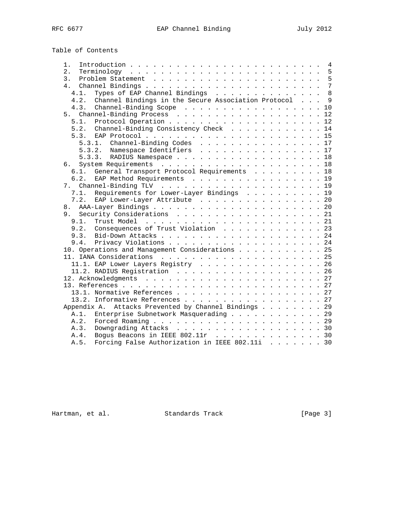Table of Contents

| 1.   |                                                      |  |  |  | $\overline{4}$ |
|------|------------------------------------------------------|--|--|--|----------------|
| 2.   |                                                      |  |  |  | 5              |
| 3.   |                                                      |  |  |  | 5              |
|      |                                                      |  |  |  | $\overline{7}$ |
| 4.1. | Types of EAP Channel Bindings                        |  |  |  | 8              |
| 4.2. | Channel Bindings in the Secure Association Protocol  |  |  |  | $\mathsf{Q}$   |
| 4.3. | Channel-Binding Scope 10                             |  |  |  |                |
|      |                                                      |  |  |  |                |
|      |                                                      |  |  |  |                |
|      | 5.2. Channel-Binding Consistency Check 14            |  |  |  |                |
|      |                                                      |  |  |  |                |
|      | 5.3.1. Channel-Binding Codes 17                      |  |  |  |                |
|      | 5.3.2. Namespace Identifiers 17                      |  |  |  |                |
|      | 5.3.3. RADIUS Namespace 18                           |  |  |  |                |
|      |                                                      |  |  |  |                |
| 6.1. | General Transport Protocol Requirements 18           |  |  |  |                |
| 6.2. | EAP Method Requirements 19                           |  |  |  |                |
|      |                                                      |  |  |  |                |
| 7.1. | Requirements for Lower-Layer Bindings 19             |  |  |  |                |
|      | 7.2. EAP Lower-Layer Attribute 20                    |  |  |  |                |
|      |                                                      |  |  |  |                |
|      | 9. Security Considerations 21                        |  |  |  |                |
| 9.1. |                                                      |  |  |  |                |
|      | 9.2. Consequences of Trust Violation 23              |  |  |  |                |
|      |                                                      |  |  |  |                |
|      |                                                      |  |  |  |                |
|      | 10. Operations and Management Considerations 25      |  |  |  |                |
|      |                                                      |  |  |  |                |
|      | 11.1. EAP Lower Layers Registry 26                   |  |  |  |                |
|      |                                                      |  |  |  |                |
|      |                                                      |  |  |  |                |
|      |                                                      |  |  |  |                |
|      |                                                      |  |  |  |                |
|      | 13.2. Informative References 27                      |  |  |  |                |
|      | Appendix A. Attacks Prevented by Channel Bindings 29 |  |  |  |                |
|      |                                                      |  |  |  |                |
| A.1. | Enterprise Subnetwork Masquerading 29                |  |  |  |                |
| A.2. |                                                      |  |  |  |                |
| A.3. | Downgrading Attacks 30                               |  |  |  |                |
| A.4. | Bogus Beacons in IEEE 802.11r 30                     |  |  |  |                |
| A.5. | Forcing False Authorization in IEEE 802.11i 30       |  |  |  |                |

Hartman, et al. Standards Track [Page 3]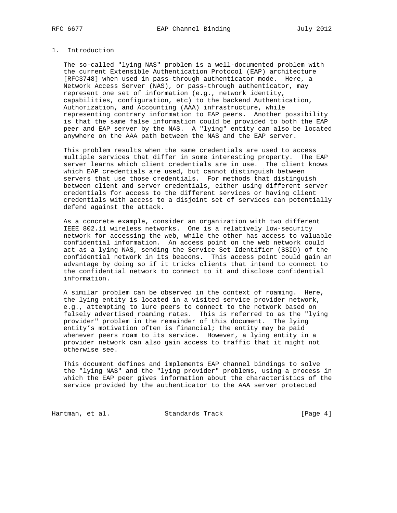### 1. Introduction

 The so-called "lying NAS" problem is a well-documented problem with the current Extensible Authentication Protocol (EAP) architecture [RFC3748] when used in pass-through authenticator mode. Here, a Network Access Server (NAS), or pass-through authenticator, may represent one set of information (e.g., network identity, capabilities, configuration, etc) to the backend Authentication, Authorization, and Accounting (AAA) infrastructure, while representing contrary information to EAP peers. Another possibility is that the same false information could be provided to both the EAP peer and EAP server by the NAS. A "lying" entity can also be located anywhere on the AAA path between the NAS and the EAP server.

 This problem results when the same credentials are used to access multiple services that differ in some interesting property. The EAP server learns which client credentials are in use. The client knows which EAP credentials are used, but cannot distinguish between servers that use those credentials. For methods that distinguish between client and server credentials, either using different server credentials for access to the different services or having client credentials with access to a disjoint set of services can potentially defend against the attack.

 As a concrete example, consider an organization with two different IEEE 802.11 wireless networks. One is a relatively low-security network for accessing the web, while the other has access to valuable confidential information. An access point on the web network could act as a lying NAS, sending the Service Set Identifier (SSID) of the confidential network in its beacons. This access point could gain an advantage by doing so if it tricks clients that intend to connect to the confidential network to connect to it and disclose confidential information.

 A similar problem can be observed in the context of roaming. Here, the lying entity is located in a visited service provider network, e.g., attempting to lure peers to connect to the network based on falsely advertised roaming rates. This is referred to as the "lying provider" problem in the remainder of this document. The lying entity's motivation often is financial; the entity may be paid whenever peers roam to its service. However, a lying entity in a provider network can also gain access to traffic that it might not otherwise see.

 This document defines and implements EAP channel bindings to solve the "lying NAS" and the "lying provider" problems, using a process in which the EAP peer gives information about the characteristics of the service provided by the authenticator to the AAA server protected

Hartman, et al. Standards Track [Page 4]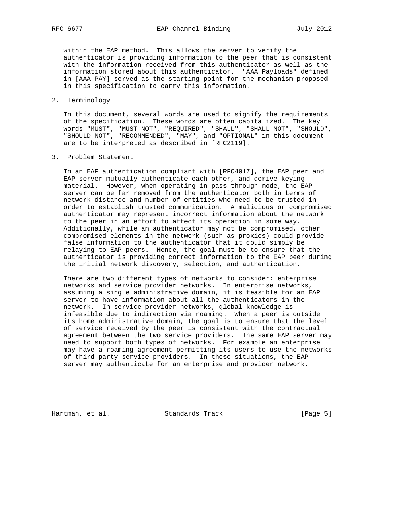within the EAP method. This allows the server to verify the authenticator is providing information to the peer that is consistent with the information received from this authenticator as well as the information stored about this authenticator. "AAA Payloads" defined in [AAA-PAY] served as the starting point for the mechanism proposed in this specification to carry this information.

### 2. Terminology

 In this document, several words are used to signify the requirements of the specification. These words are often capitalized. The key words "MUST", "MUST NOT", "REQUIRED", "SHALL", "SHALL NOT", "SHOULD", "SHOULD NOT", "RECOMMENDED", "MAY", and "OPTIONAL" in this document are to be interpreted as described in [RFC2119].

#### 3. Problem Statement

 In an EAP authentication compliant with [RFC4017], the EAP peer and EAP server mutually authenticate each other, and derive keying material. However, when operating in pass-through mode, the EAP server can be far removed from the authenticator both in terms of network distance and number of entities who need to be trusted in order to establish trusted communication. A malicious or compromised authenticator may represent incorrect information about the network to the peer in an effort to affect its operation in some way. Additionally, while an authenticator may not be compromised, other compromised elements in the network (such as proxies) could provide false information to the authenticator that it could simply be relaying to EAP peers. Hence, the goal must be to ensure that the authenticator is providing correct information to the EAP peer during the initial network discovery, selection, and authentication.

 There are two different types of networks to consider: enterprise networks and service provider networks. In enterprise networks, assuming a single administrative domain, it is feasible for an EAP server to have information about all the authenticators in the network. In service provider networks, global knowledge is infeasible due to indirection via roaming. When a peer is outside its home administrative domain, the goal is to ensure that the level of service received by the peer is consistent with the contractual agreement between the two service providers. The same EAP server may need to support both types of networks. For example an enterprise may have a roaming agreement permitting its users to use the networks of third-party service providers. In these situations, the EAP server may authenticate for an enterprise and provider network.

Hartman, et al. Standards Track [Page 5]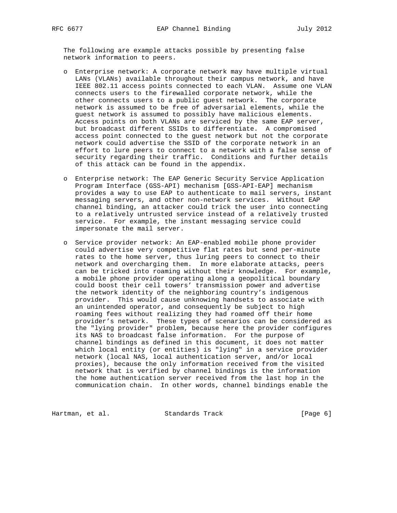The following are example attacks possible by presenting false network information to peers.

- o Enterprise network: A corporate network may have multiple virtual LANs (VLANs) available throughout their campus network, and have IEEE 802.11 access points connected to each VLAN. Assume one VLAN connects users to the firewalled corporate network, while the other connects users to a public guest network. The corporate network is assumed to be free of adversarial elements, while the guest network is assumed to possibly have malicious elements. Access points on both VLANs are serviced by the same EAP server, but broadcast different SSIDs to differentiate. A compromised access point connected to the guest network but not the corporate network could advertise the SSID of the corporate network in an effort to lure peers to connect to a network with a false sense of security regarding their traffic. Conditions and further details of this attack can be found in the appendix.
- o Enterprise network: The EAP Generic Security Service Application Program Interface (GSS-API) mechanism [GSS-API-EAP] mechanism provides a way to use EAP to authenticate to mail servers, instant messaging servers, and other non-network services. Without EAP channel binding, an attacker could trick the user into connecting to a relatively untrusted service instead of a relatively trusted service. For example, the instant messaging service could impersonate the mail server.
- o Service provider network: An EAP-enabled mobile phone provider could advertise very competitive flat rates but send per-minute rates to the home server, thus luring peers to connect to their network and overcharging them. In more elaborate attacks, peers can be tricked into roaming without their knowledge. For example, a mobile phone provider operating along a geopolitical boundary could boost their cell towers' transmission power and advertise the network identity of the neighboring country's indigenous provider. This would cause unknowing handsets to associate with an unintended operator, and consequently be subject to high roaming fees without realizing they had roamed off their home provider's network. These types of scenarios can be considered as the "lying provider" problem, because here the provider configures its NAS to broadcast false information. For the purpose of channel bindings as defined in this document, it does not matter which local entity (or entities) is "lying" in a service provider network (local NAS, local authentication server, and/or local proxies), because the only information received from the visited network that is verified by channel bindings is the information the home authentication server received from the last hop in the communication chain. In other words, channel bindings enable the

Hartman, et al. Standards Track [Page 6]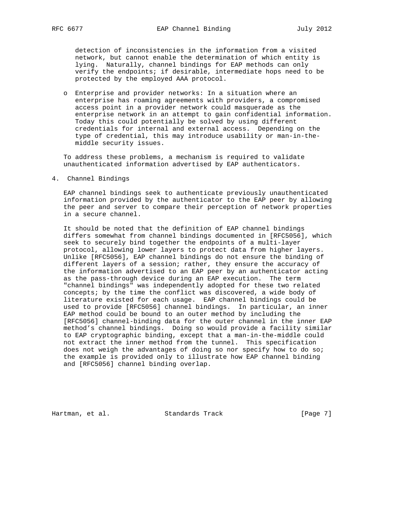detection of inconsistencies in the information from a visited network, but cannot enable the determination of which entity is lying. Naturally, channel bindings for EAP methods can only verify the endpoints; if desirable, intermediate hops need to be protected by the employed AAA protocol.

 o Enterprise and provider networks: In a situation where an enterprise has roaming agreements with providers, a compromised access point in a provider network could masquerade as the enterprise network in an attempt to gain confidential information. Today this could potentially be solved by using different credentials for internal and external access. Depending on the type of credential, this may introduce usability or man-in-the middle security issues.

 To address these problems, a mechanism is required to validate unauthenticated information advertised by EAP authenticators.

4. Channel Bindings

 EAP channel bindings seek to authenticate previously unauthenticated information provided by the authenticator to the EAP peer by allowing the peer and server to compare their perception of network properties in a secure channel.

 It should be noted that the definition of EAP channel bindings differs somewhat from channel bindings documented in [RFC5056], which seek to securely bind together the endpoints of a multi-layer protocol, allowing lower layers to protect data from higher layers. Unlike [RFC5056], EAP channel bindings do not ensure the binding of different layers of a session; rather, they ensure the accuracy of the information advertised to an EAP peer by an authenticator acting as the pass-through device during an EAP execution. The term "channel bindings" was independently adopted for these two related concepts; by the time the conflict was discovered, a wide body of literature existed for each usage. EAP channel bindings could be used to provide [RFC5056] channel bindings. In particular, an inner EAP method could be bound to an outer method by including the [RFC5056] channel-binding data for the outer channel in the inner EAP method's channel bindings. Doing so would provide a facility similar to EAP cryptographic binding, except that a man-in-the-middle could not extract the inner method from the tunnel. This specification does not weigh the advantages of doing so nor specify how to do so; the example is provided only to illustrate how EAP channel binding and [RFC5056] channel binding overlap.

Hartman, et al. Standards Track [Page 7]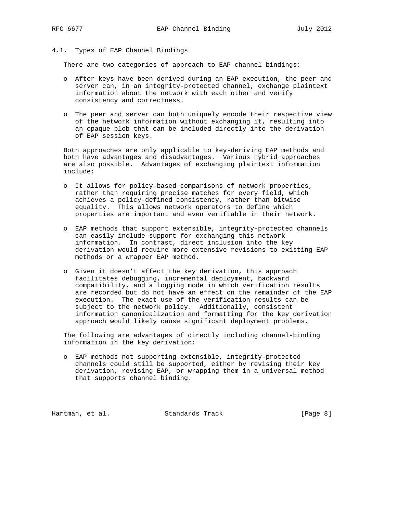# 4.1. Types of EAP Channel Bindings

There are two categories of approach to EAP channel bindings:

- o After keys have been derived during an EAP execution, the peer and server can, in an integrity-protected channel, exchange plaintext information about the network with each other and verify consistency and correctness.
- o The peer and server can both uniquely encode their respective view of the network information without exchanging it, resulting into an opaque blob that can be included directly into the derivation of EAP session keys.

 Both approaches are only applicable to key-deriving EAP methods and both have advantages and disadvantages. Various hybrid approaches are also possible. Advantages of exchanging plaintext information include:

- o It allows for policy-based comparisons of network properties, rather than requiring precise matches for every field, which achieves a policy-defined consistency, rather than bitwise equality. This allows network operators to define which properties are important and even verifiable in their network.
- o EAP methods that support extensible, integrity-protected channels can easily include support for exchanging this network information. In contrast, direct inclusion into the key derivation would require more extensive revisions to existing EAP methods or a wrapper EAP method.
- o Given it doesn't affect the key derivation, this approach facilitates debugging, incremental deployment, backward compatibility, and a logging mode in which verification results are recorded but do not have an effect on the remainder of the EAP execution. The exact use of the verification results can be subject to the network policy. Additionally, consistent information canonicalization and formatting for the key derivation approach would likely cause significant deployment problems.

 The following are advantages of directly including channel-binding information in the key derivation:

 o EAP methods not supporting extensible, integrity-protected channels could still be supported, either by revising their key derivation, revising EAP, or wrapping them in a universal method that supports channel binding.

Hartman, et al. Standards Track [Page 8]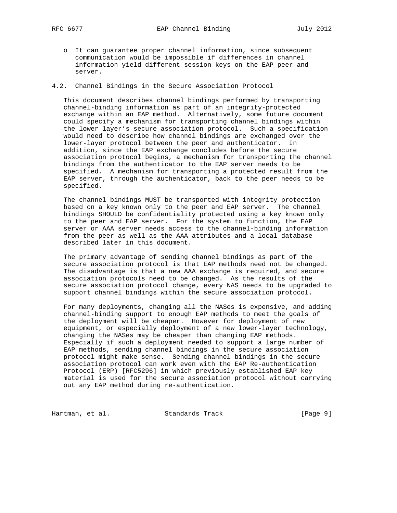- o It can guarantee proper channel information, since subsequent communication would be impossible if differences in channel information yield different session keys on the EAP peer and server.
- 4.2. Channel Bindings in the Secure Association Protocol

 This document describes channel bindings performed by transporting channel-binding information as part of an integrity-protected exchange within an EAP method. Alternatively, some future document could specify a mechanism for transporting channel bindings within the lower layer's secure association protocol. Such a specification would need to describe how channel bindings are exchanged over the lower-layer protocol between the peer and authenticator. In addition, since the EAP exchange concludes before the secure association protocol begins, a mechanism for transporting the channel bindings from the authenticator to the EAP server needs to be specified. A mechanism for transporting a protected result from the EAP server, through the authenticator, back to the peer needs to be specified.

 The channel bindings MUST be transported with integrity protection based on a key known only to the peer and EAP server. The channel bindings SHOULD be confidentiality protected using a key known only to the peer and EAP server. For the system to function, the EAP server or AAA server needs access to the channel-binding information from the peer as well as the AAA attributes and a local database described later in this document.

 The primary advantage of sending channel bindings as part of the secure association protocol is that EAP methods need not be changed. The disadvantage is that a new AAA exchange is required, and secure association protocols need to be changed. As the results of the secure association protocol change, every NAS needs to be upgraded to support channel bindings within the secure association protocol.

 For many deployments, changing all the NASes is expensive, and adding channel-binding support to enough EAP methods to meet the goals of the deployment will be cheaper. However for deployment of new equipment, or especially deployment of a new lower-layer technology, changing the NASes may be cheaper than changing EAP methods. Especially if such a deployment needed to support a large number of EAP methods, sending channel bindings in the secure association protocol might make sense. Sending channel bindings in the secure association protocol can work even with the EAP Re-authentication Protocol (ERP) [RFC5296] in which previously established EAP key material is used for the secure association protocol without carrying out any EAP method during re-authentication.

Hartman, et al. Standards Track [Page 9]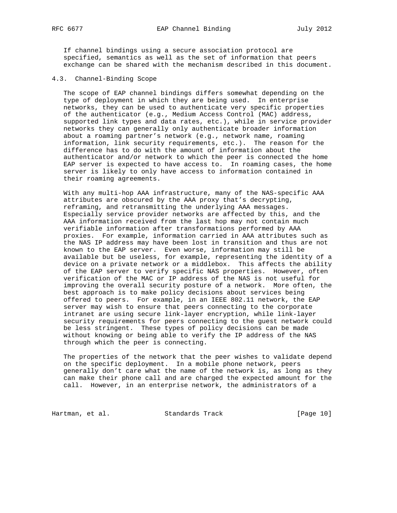If channel bindings using a secure association protocol are specified, semantics as well as the set of information that peers exchange can be shared with the mechanism described in this document.

4.3. Channel-Binding Scope

 The scope of EAP channel bindings differs somewhat depending on the type of deployment in which they are being used. In enterprise networks, they can be used to authenticate very specific properties of the authenticator (e.g., Medium Access Control (MAC) address, supported link types and data rates, etc.), while in service provider networks they can generally only authenticate broader information about a roaming partner's network (e.g., network name, roaming information, link security requirements, etc.). The reason for the difference has to do with the amount of information about the authenticator and/or network to which the peer is connected the home EAP server is expected to have access to. In roaming cases, the home server is likely to only have access to information contained in their roaming agreements.

 With any multi-hop AAA infrastructure, many of the NAS-specific AAA attributes are obscured by the AAA proxy that's decrypting, reframing, and retransmitting the underlying AAA messages. Especially service provider networks are affected by this, and the AAA information received from the last hop may not contain much verifiable information after transformations performed by AAA proxies. For example, information carried in AAA attributes such as the NAS IP address may have been lost in transition and thus are not known to the EAP server. Even worse, information may still be available but be useless, for example, representing the identity of a device on a private network or a middlebox. This affects the ability of the EAP server to verify specific NAS properties. However, often verification of the MAC or IP address of the NAS is not useful for improving the overall security posture of a network. More often, the best approach is to make policy decisions about services being offered to peers. For example, in an IEEE 802.11 network, the EAP server may wish to ensure that peers connecting to the corporate intranet are using secure link-layer encryption, while link-layer security requirements for peers connecting to the guest network could be less stringent. These types of policy decisions can be made without knowing or being able to verify the IP address of the NAS through which the peer is connecting.

 The properties of the network that the peer wishes to validate depend on the specific deployment. In a mobile phone network, peers generally don't care what the name of the network is, as long as they can make their phone call and are charged the expected amount for the call. However, in an enterprise network, the administrators of a

Hartman, et al. Standards Track [Page 10]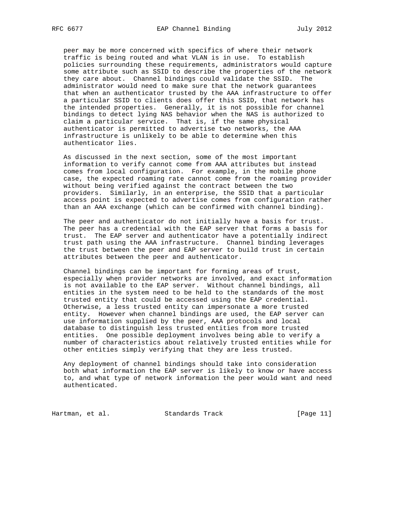peer may be more concerned with specifics of where their network traffic is being routed and what VLAN is in use. To establish policies surrounding these requirements, administrators would capture some attribute such as SSID to describe the properties of the network they care about. Channel bindings could validate the SSID. The administrator would need to make sure that the network guarantees that when an authenticator trusted by the AAA infrastructure to offer a particular SSID to clients does offer this SSID, that network has the intended properties. Generally, it is not possible for channel bindings to detect lying NAS behavior when the NAS is authorized to claim a particular service. That is, if the same physical authenticator is permitted to advertise two networks, the AAA infrastructure is unlikely to be able to determine when this authenticator lies.

 As discussed in the next section, some of the most important information to verify cannot come from AAA attributes but instead comes from local configuration. For example, in the mobile phone case, the expected roaming rate cannot come from the roaming provider without being verified against the contract between the two providers. Similarly, in an enterprise, the SSID that a particular access point is expected to advertise comes from configuration rather than an AAA exchange (which can be confirmed with channel binding).

 The peer and authenticator do not initially have a basis for trust. The peer has a credential with the EAP server that forms a basis for trust. The EAP server and authenticator have a potentially indirect trust path using the AAA infrastructure. Channel binding leverages the trust between the peer and EAP server to build trust in certain attributes between the peer and authenticator.

 Channel bindings can be important for forming areas of trust, especially when provider networks are involved, and exact information is not available to the EAP server. Without channel bindings, all entities in the system need to be held to the standards of the most trusted entity that could be accessed using the EAP credential. Otherwise, a less trusted entity can impersonate a more trusted entity. However when channel bindings are used, the EAP server can use information supplied by the peer, AAA protocols and local database to distinguish less trusted entities from more trusted entities. One possible deployment involves being able to verify a number of characteristics about relatively trusted entities while for other entities simply verifying that they are less trusted.

 Any deployment of channel bindings should take into consideration both what information the EAP server is likely to know or have access to, and what type of network information the peer would want and need authenticated.

Hartman, et al. Standards Track [Page 11]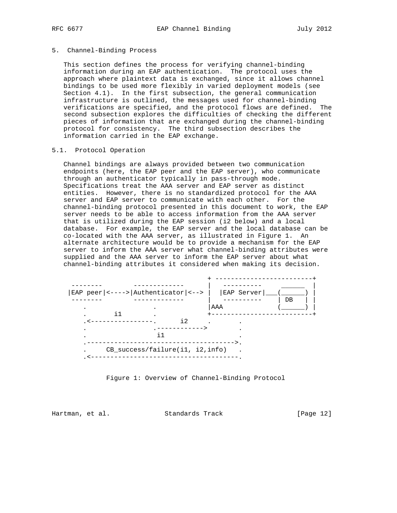### 5. Channel-Binding Process

 This section defines the process for verifying channel-binding information during an EAP authentication. The protocol uses the approach where plaintext data is exchanged, since it allows channel bindings to be used more flexibly in varied deployment models (see Section 4.1). In the first subsection, the general communication infrastructure is outlined, the messages used for channel-binding verifications are specified, and the protocol flows are defined. The second subsection explores the difficulties of checking the different pieces of information that are exchanged during the channel-binding protocol for consistency. The third subsection describes the information carried in the EAP exchange.

### 5.1. Protocol Operation

 Channel bindings are always provided between two communication endpoints (here, the EAP peer and the EAP server), who communicate through an authenticator typically in pass-through mode. Specifications treat the AAA server and EAP server as distinct entities. However, there is no standardized protocol for the AAA server and EAP server to communicate with each other. For the channel-binding protocol presented in this document to work, the EAP server needs to be able to access information from the AAA server that is utilized during the EAP session (i2 below) and a local database. For example, the EAP server and the local database can be co-located with the AAA server, as illustrated in Figure 1. An alternate architecture would be to provide a mechanism for the EAP server to inform the AAA server what channel-binding attributes were supplied and the AAA server to inform the EAP server about what channel-binding attributes it considered when making its decision.



Figure 1: Overview of Channel-Binding Protocol

Hartman, et al. Standards Track [Page 12]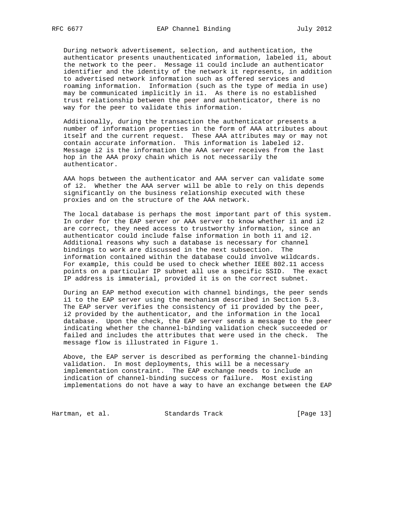During network advertisement, selection, and authentication, the authenticator presents unauthenticated information, labeled i1, about the network to the peer. Message i1 could include an authenticator identifier and the identity of the network it represents, in addition to advertised network information such as offered services and roaming information. Information (such as the type of media in use) may be communicated implicitly in i1. As there is no established trust relationship between the peer and authenticator, there is no way for the peer to validate this information.

 Additionally, during the transaction the authenticator presents a number of information properties in the form of AAA attributes about itself and the current request. These AAA attributes may or may not contain accurate information. This information is labeled i2. Message i2 is the information the AAA server receives from the last hop in the AAA proxy chain which is not necessarily the authenticator.

 AAA hops between the authenticator and AAA server can validate some of i2. Whether the AAA server will be able to rely on this depends significantly on the business relationship executed with these proxies and on the structure of the AAA network.

 The local database is perhaps the most important part of this system. In order for the EAP server or AAA server to know whether i1 and i2 are correct, they need access to trustworthy information, since an authenticator could include false information in both i1 and i2. Additional reasons why such a database is necessary for channel bindings to work are discussed in the next subsection. The information contained within the database could involve wildcards. For example, this could be used to check whether IEEE 802.11 access points on a particular IP subnet all use a specific SSID. The exact IP address is immaterial, provided it is on the correct subnet.

 During an EAP method execution with channel bindings, the peer sends i1 to the EAP server using the mechanism described in Section 5.3. The EAP server verifies the consistency of i1 provided by the peer, i2 provided by the authenticator, and the information in the local database. Upon the check, the EAP server sends a message to the peer indicating whether the channel-binding validation check succeeded or failed and includes the attributes that were used in the check. The message flow is illustrated in Figure 1.

 Above, the EAP server is described as performing the channel-binding validation. In most deployments, this will be a necessary implementation constraint. The EAP exchange needs to include an indication of channel-binding success or failure. Most existing implementations do not have a way to have an exchange between the EAP

Hartman, et al. Standards Track [Page 13]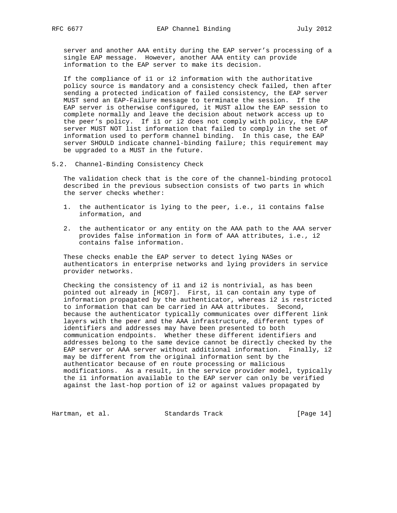server and another AAA entity during the EAP server's processing of a single EAP message. However, another AAA entity can provide information to the EAP server to make its decision.

 If the compliance of i1 or i2 information with the authoritative policy source is mandatory and a consistency check failed, then after sending a protected indication of failed consistency, the EAP server MUST send an EAP-Failure message to terminate the session. If the EAP server is otherwise configured, it MUST allow the EAP session to complete normally and leave the decision about network access up to the peer's policy. If i1 or i2 does not comply with policy, the EAP server MUST NOT list information that failed to comply in the set of information used to perform channel binding. In this case, the EAP server SHOULD indicate channel-binding failure; this requirement may be upgraded to a MUST in the future.

5.2. Channel-Binding Consistency Check

 The validation check that is the core of the channel-binding protocol described in the previous subsection consists of two parts in which the server checks whether:

- 1. the authenticator is lying to the peer, i.e., i1 contains false information, and
- 2. the authenticator or any entity on the AAA path to the AAA server provides false information in form of AAA attributes, i.e., i2 contains false information.

 These checks enable the EAP server to detect lying NASes or authenticators in enterprise networks and lying providers in service provider networks.

 Checking the consistency of i1 and i2 is nontrivial, as has been pointed out already in [HC07]. First, i1 can contain any type of information propagated by the authenticator, whereas i2 is restricted to information that can be carried in AAA attributes. Second, because the authenticator typically communicates over different link layers with the peer and the AAA infrastructure, different types of identifiers and addresses may have been presented to both communication endpoints. Whether these different identifiers and addresses belong to the same device cannot be directly checked by the EAP server or AAA server without additional information. Finally, i2 may be different from the original information sent by the authenticator because of en route processing or malicious modifications. As a result, in the service provider model, typically the i1 information available to the EAP server can only be verified against the last-hop portion of i2 or against values propagated by

Hartman, et al. Standards Track [Page 14]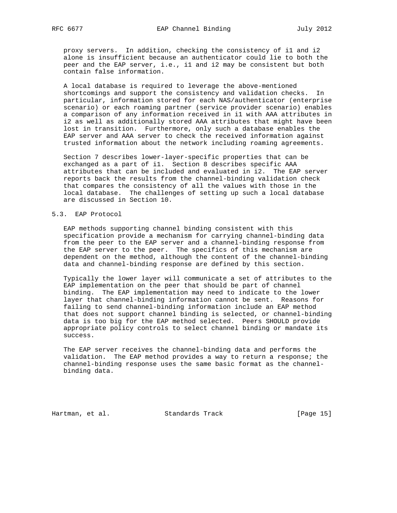proxy servers. In addition, checking the consistency of i1 and i2 alone is insufficient because an authenticator could lie to both the peer and the EAP server, i.e., i1 and i2 may be consistent but both contain false information.

 A local database is required to leverage the above-mentioned shortcomings and support the consistency and validation checks. In particular, information stored for each NAS/authenticator (enterprise scenario) or each roaming partner (service provider scenario) enables a comparison of any information received in i1 with AAA attributes in i2 as well as additionally stored AAA attributes that might have been lost in transition. Furthermore, only such a database enables the EAP server and AAA server to check the received information against trusted information about the network including roaming agreements.

 Section 7 describes lower-layer-specific properties that can be exchanged as a part of i1. Section 8 describes specific AAA attributes that can be included and evaluated in i2. The EAP server reports back the results from the channel-binding validation check that compares the consistency of all the values with those in the local database. The challenges of setting up such a local database are discussed in Section 10.

## 5.3. EAP Protocol

 EAP methods supporting channel binding consistent with this specification provide a mechanism for carrying channel-binding data from the peer to the EAP server and a channel-binding response from the EAP server to the peer. The specifics of this mechanism are dependent on the method, although the content of the channel-binding data and channel-binding response are defined by this section.

 Typically the lower layer will communicate a set of attributes to the EAP implementation on the peer that should be part of channel binding. The EAP implementation may need to indicate to the lower layer that channel-binding information cannot be sent. Reasons for failing to send channel-binding information include an EAP method that does not support channel binding is selected, or channel-binding data is too big for the EAP method selected. Peers SHOULD provide appropriate policy controls to select channel binding or mandate its success.

 The EAP server receives the channel-binding data and performs the validation. The EAP method provides a way to return a response; the channel-binding response uses the same basic format as the channel binding data.

Hartman, et al. Standards Track [Page 15]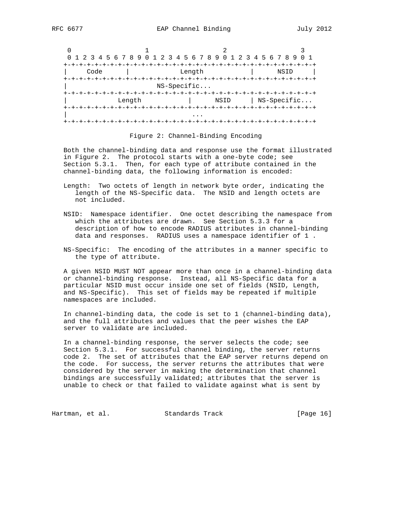|      | 0 1 2 3 4 5 6 7 8 9 0 1 2 3 4 5 6 7 8 9 0 1 2 3 4 5 6 7 8 9 |                               |      | 0 1                            |
|------|-------------------------------------------------------------|-------------------------------|------|--------------------------------|
| Code |                                                             | Length                        |      | NSID<br>-+-+-+-+-+-+-+-        |
|      |                                                             | NS-Specific                   |      |                                |
|      | Length                                                      | +-+-+-+-+-+-+-+-+-+-+-+-+-+-+ | NSID | +-+-+-+-+-+<br>$ $ NS-Specific |
|      |                                                             |                               |      | +-+-+-+-+-+-+-+-+-+-+-+-+-+-+  |

#### Figure 2: Channel-Binding Encoding

 Both the channel-binding data and response use the format illustrated in Figure 2. The protocol starts with a one-byte code; see Section 5.3.1. Then, for each type of attribute contained in the channel-binding data, the following information is encoded:

- Length: Two octets of length in network byte order, indicating the length of the NS-Specific data. The NSID and length octets are not included.
- NSID: Namespace identifier. One octet describing the namespace from which the attributes are drawn. See Section 5.3.3 for a description of how to encode RADIUS attributes in channel-binding data and responses. RADIUS uses a namespace identifier of 1 .
- NS-Specific: The encoding of the attributes in a manner specific to the type of attribute.

 A given NSID MUST NOT appear more than once in a channel-binding data or channel-binding response. Instead, all NS-Specific data for a particular NSID must occur inside one set of fields (NSID, Length, and NS-Specific). This set of fields may be repeated if multiple namespaces are included.

 In channel-binding data, the code is set to 1 (channel-binding data), and the full attributes and values that the peer wishes the EAP server to validate are included.

 In a channel-binding response, the server selects the code; see Section 5.3.1. For successful channel binding, the server returns code 2. The set of attributes that the EAP server returns depend on the code. For success, the server returns the attributes that were considered by the server in making the determination that channel bindings are successfully validated; attributes that the server is unable to check or that failed to validate against what is sent by

Hartman, et al. Standards Track [Page 16]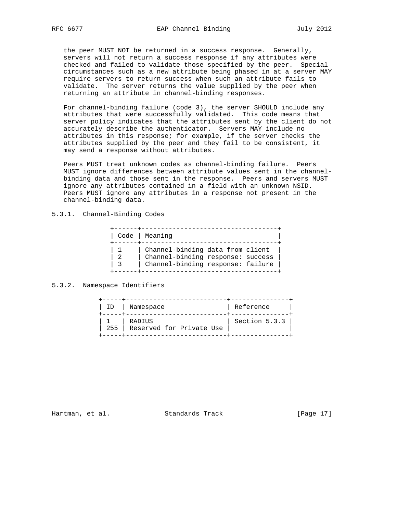the peer MUST NOT be returned in a success response. Generally, servers will not return a success response if any attributes were checked and failed to validate those specified by the peer. Special circumstances such as a new attribute being phased in at a server MAY require servers to return success when such an attribute fails to validate. The server returns the value supplied by the peer when returning an attribute in channel-binding responses.

 For channel-binding failure (code 3), the server SHOULD include any attributes that were successfully validated. This code means that server policy indicates that the attributes sent by the client do not accurately describe the authenticator. Servers MAY include no attributes in this response; for example, if the server checks the attributes supplied by the peer and they fail to be consistent, it may send a response without attributes.

 Peers MUST treat unknown codes as channel-binding failure. Peers MUST ignore differences between attribute values sent in the channel binding data and those sent in the response. Peers and servers MUST ignore any attributes contained in a field with an unknown NSID. Peers MUST ignore any attributes in a response not present in the channel-binding data.

## 5.3.1. Channel-Binding Codes

| Code   Meaning                                                                                             |
|------------------------------------------------------------------------------------------------------------|
| Channel-binding data from client<br>Channel-binding response: success<br>Channel-binding response: failure |

## 5.3.2. Namespace Identifiers

| ID | Namespace                              | Reference       |
|----|----------------------------------------|-----------------|
|    | RADIUS<br>255 Reserved for Private Use | Section $5.3.3$ |

Hartman, et al. Standards Track [Page 17]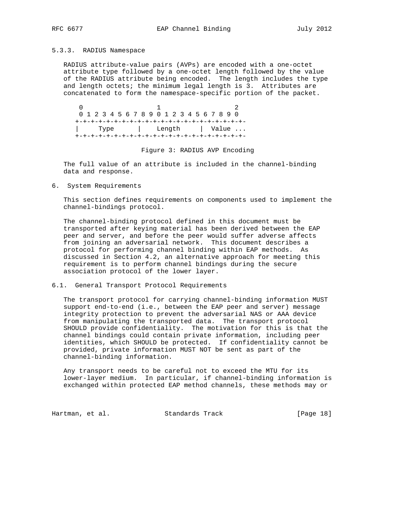#### 5.3.3. RADIUS Namespace

 RADIUS attribute-value pairs (AVPs) are encoded with a one-octet attribute type followed by a one-octet length followed by the value of the RADIUS attribute being encoded. The length includes the type and length octets; the minimum legal length is 3. Attributes are concatenated to form the namespace-specific portion of the packet.

 $0$  and  $1$  2 0 1 2 3 4 5 6 7 8 9 0 1 2 3 4 5 6 7 8 9 0 +-+-+-+-+-+-+-+-+-+-+-+-+-+-+-+-+-+-+-+-+-+- Type | Length | Value ... +-+-+-+-+-+-+-+-+-+-+-+-+-+-+-+-+-+-+-+-+-+-

Figure 3: RADIUS AVP Encoding

 The full value of an attribute is included in the channel-binding data and response.

6. System Requirements

 This section defines requirements on components used to implement the channel-bindings protocol.

 The channel-binding protocol defined in this document must be transported after keying material has been derived between the EAP peer and server, and before the peer would suffer adverse affects from joining an adversarial network. This document describes a protocol for performing channel binding within EAP methods. As discussed in Section 4.2, an alternative approach for meeting this requirement is to perform channel bindings during the secure association protocol of the lower layer.

6.1. General Transport Protocol Requirements

 The transport protocol for carrying channel-binding information MUST support end-to-end (i.e., between the EAP peer and server) message integrity protection to prevent the adversarial NAS or AAA device from manipulating the transported data. The transport protocol SHOULD provide confidentiality. The motivation for this is that the channel bindings could contain private information, including peer identities, which SHOULD be protected. If confidentiality cannot be provided, private information MUST NOT be sent as part of the channel-binding information.

 Any transport needs to be careful not to exceed the MTU for its lower-layer medium. In particular, if channel-binding information is exchanged within protected EAP method channels, these methods may or

Hartman, et al. Standards Track [Page 18]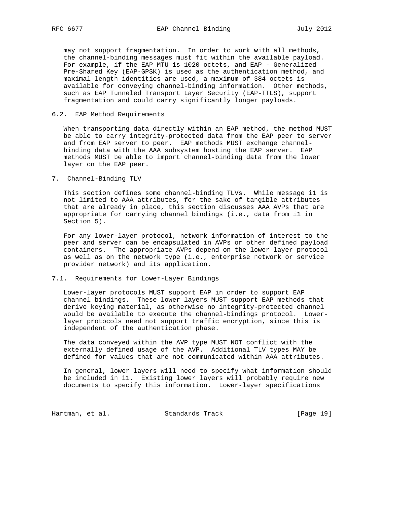may not support fragmentation. In order to work with all methods, the channel-binding messages must fit within the available payload. For example, if the EAP MTU is 1020 octets, and EAP - Generalized Pre-Shared Key (EAP-GPSK) is used as the authentication method, and maximal-length identities are used, a maximum of 384 octets is available for conveying channel-binding information. Other methods, such as EAP Tunneled Transport Layer Security (EAP-TTLS), support fragmentation and could carry significantly longer payloads.

### 6.2. EAP Method Requirements

 When transporting data directly within an EAP method, the method MUST be able to carry integrity-protected data from the EAP peer to server and from EAP server to peer. EAP methods MUST exchange channel binding data with the AAA subsystem hosting the EAP server. EAP methods MUST be able to import channel-binding data from the lower layer on the EAP peer.

7. Channel-Binding TLV

 This section defines some channel-binding TLVs. While message i1 is not limited to AAA attributes, for the sake of tangible attributes that are already in place, this section discusses AAA AVPs that are appropriate for carrying channel bindings (i.e., data from i1 in Section 5).

 For any lower-layer protocol, network information of interest to the peer and server can be encapsulated in AVPs or other defined payload containers. The appropriate AVPs depend on the lower-layer protocol as well as on the network type (i.e., enterprise network or service provider network) and its application.

#### 7.1. Requirements for Lower-Layer Bindings

 Lower-layer protocols MUST support EAP in order to support EAP channel bindings. These lower layers MUST support EAP methods that derive keying material, as otherwise no integrity-protected channel would be available to execute the channel-bindings protocol. Lower layer protocols need not support traffic encryption, since this is independent of the authentication phase.

 The data conveyed within the AVP type MUST NOT conflict with the externally defined usage of the AVP. Additional TLV types MAY be defined for values that are not communicated within AAA attributes.

 In general, lower layers will need to specify what information should be included in i1. Existing lower layers will probably require new documents to specify this information. Lower-layer specifications

Hartman, et al. Standards Track [Page 19]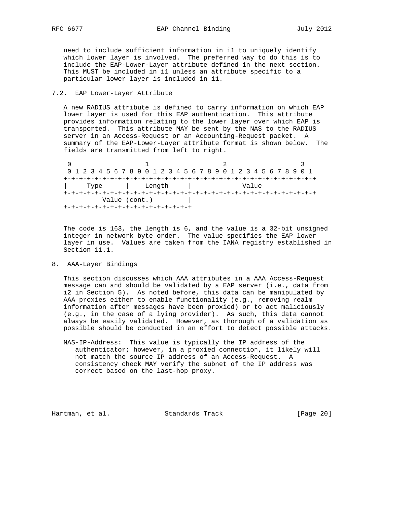need to include sufficient information in i1 to uniquely identify which lower layer is involved. The preferred way to do this is to include the EAP-Lower-Layer attribute defined in the next section. This MUST be included in i1 unless an attribute specific to a particular lower layer is included in i1.

### 7.2. EAP Lower-Layer Attribute

 A new RADIUS attribute is defined to carry information on which EAP lower layer is used for this EAP authentication. This attribute provides information relating to the lower layer over which EAP is transported. This attribute MAY be sent by the NAS to the RADIUS server in an Access-Request or an Accounting-Request packet. A summary of the EAP-Lower-Layer attribute format is shown below. The fields are transmitted from left to right.

0  $1$  2 3 0 1 2 3 4 5 6 7 8 9 0 1 2 3 4 5 6 7 8 9 0 1 2 3 4 5 6 7 8 9 0 1 +-+-+-+-+-+-+-+-+-+-+-+-+-+-+-+-+-+-+-+-+-+-+-+-+-+-+-+-+-+-+-+-+ | Type | Length | Value +-+-+-+-+-+-+-+-+-+-+-+-+-+-+-+-+-+-+-+-+-+-+-+-+-+-+-+-+-+-+-+-+ Value (cont.) +-+-+-+-+-+-+-+-+-+-+-+-+-+-+-+-+

 The code is 163, the length is 6, and the value is a 32-bit unsigned integer in network byte order. The value specifies the EAP lower layer in use. Values are taken from the IANA registry established in Section 11.1.

## 8. AAA-Layer Bindings

 This section discusses which AAA attributes in a AAA Access-Request message can and should be validated by a EAP server (i.e., data from i2 in Section 5). As noted before, this data can be manipulated by AAA proxies either to enable functionality (e.g., removing realm information after messages have been proxied) or to act maliciously (e.g., in the case of a lying provider). As such, this data cannot always be easily validated. However, as thorough of a validation as possible should be conducted in an effort to detect possible attacks.

 NAS-IP-Address: This value is typically the IP address of the authenticator; however, in a proxied connection, it likely will not match the source IP address of an Access-Request. A consistency check MAY verify the subnet of the IP address was correct based on the last-hop proxy.

Hartman, et al. Standards Track [Page 20]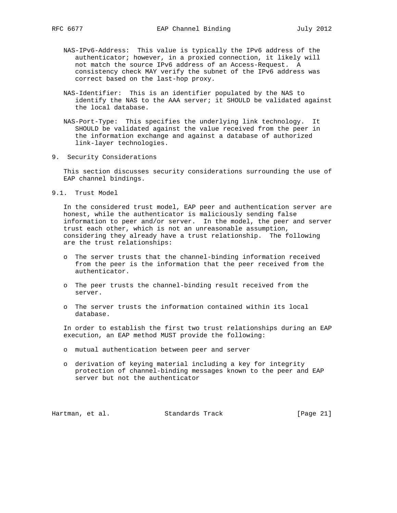- NAS-IPv6-Address: This value is typically the IPv6 address of the authenticator; however, in a proxied connection, it likely will not match the source IPv6 address of an Access-Request. A consistency check MAY verify the subnet of the IPv6 address was correct based on the last-hop proxy.
- NAS-Identifier: This is an identifier populated by the NAS to identify the NAS to the AAA server; it SHOULD be validated against the local database.
- NAS-Port-Type: This specifies the underlying link technology. It SHOULD be validated against the value received from the peer in the information exchange and against a database of authorized link-layer technologies.
- 9. Security Considerations

 This section discusses security considerations surrounding the use of EAP channel bindings.

9.1. Trust Model

 In the considered trust model, EAP peer and authentication server are honest, while the authenticator is maliciously sending false information to peer and/or server. In the model, the peer and server trust each other, which is not an unreasonable assumption, considering they already have a trust relationship. The following are the trust relationships:

- o The server trusts that the channel-binding information received from the peer is the information that the peer received from the authenticator.
- o The peer trusts the channel-binding result received from the server.
- o The server trusts the information contained within its local database.

 In order to establish the first two trust relationships during an EAP execution, an EAP method MUST provide the following:

- o mutual authentication between peer and server
- o derivation of keying material including a key for integrity protection of channel-binding messages known to the peer and EAP server but not the authenticator

Hartman, et al. Standards Track [Page 21]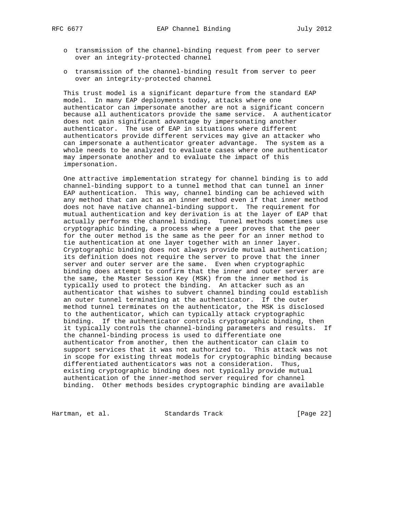- o transmission of the channel-binding request from peer to server over an integrity-protected channel
- o transmission of the channel-binding result from server to peer over an integrity-protected channel

 This trust model is a significant departure from the standard EAP model. In many EAP deployments today, attacks where one authenticator can impersonate another are not a significant concern because all authenticators provide the same service. A authenticator does not gain significant advantage by impersonating another authenticator. The use of EAP in situations where different authenticators provide different services may give an attacker who can impersonate a authenticator greater advantage. The system as a whole needs to be analyzed to evaluate cases where one authenticator may impersonate another and to evaluate the impact of this impersonation.

 One attractive implementation strategy for channel binding is to add channel-binding support to a tunnel method that can tunnel an inner EAP authentication. This way, channel binding can be achieved with any method that can act as an inner method even if that inner method does not have native channel-binding support. The requirement for mutual authentication and key derivation is at the layer of EAP that actually performs the channel binding. Tunnel methods sometimes use cryptographic binding, a process where a peer proves that the peer for the outer method is the same as the peer for an inner method to tie authentication at one layer together with an inner layer. Cryptographic binding does not always provide mutual authentication; its definition does not require the server to prove that the inner server and outer server are the same. Even when cryptographic binding does attempt to confirm that the inner and outer server are the same, the Master Session Key (MSK) from the inner method is typically used to protect the binding. An attacker such as an authenticator that wishes to subvert channel binding could establish an outer tunnel terminating at the authenticator. If the outer method tunnel terminates on the authenticator, the MSK is disclosed to the authenticator, which can typically attack cryptographic binding. If the authenticator controls cryptographic binding, then it typically controls the channel-binding parameters and results. If the channel-binding process is used to differentiate one authenticator from another, then the authenticator can claim to support services that it was not authorized to. This attack was not in scope for existing threat models for cryptographic binding because differentiated authenticators was not a consideration. Thus, existing cryptographic binding does not typically provide mutual authentication of the inner-method server required for channel binding. Other methods besides cryptographic binding are available

Hartman, et al. Standards Track [Page 22]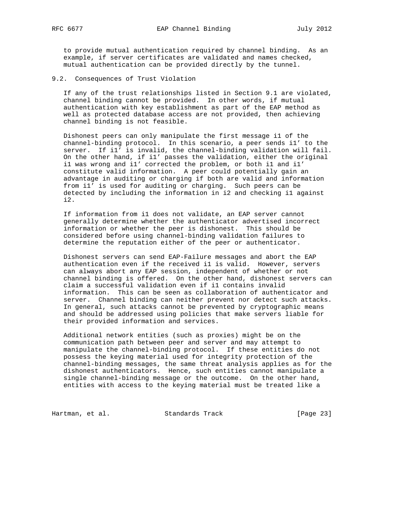to provide mutual authentication required by channel binding. As an example, if server certificates are validated and names checked, mutual authentication can be provided directly by the tunnel.

9.2. Consequences of Trust Violation

 If any of the trust relationships listed in Section 9.1 are violated, channel binding cannot be provided. In other words, if mutual authentication with key establishment as part of the EAP method as well as protected database access are not provided, then achieving channel binding is not feasible.

 Dishonest peers can only manipulate the first message i1 of the channel-binding protocol. In this scenario, a peer sends i1' to the server. If i1' is invalid, the channel-binding validation will fail. On the other hand, if i1' passes the validation, either the original i1 was wrong and i1' corrected the problem, or both i1 and i1' constitute valid information. A peer could potentially gain an advantage in auditing or charging if both are valid and information from i1' is used for auditing or charging. Such peers can be detected by including the information in i2 and checking i1 against  $i2.$ 

 If information from i1 does not validate, an EAP server cannot generally determine whether the authenticator advertised incorrect information or whether the peer is dishonest. This should be considered before using channel-binding validation failures to determine the reputation either of the peer or authenticator.

 Dishonest servers can send EAP-Failure messages and abort the EAP authentication even if the received i1 is valid. However, servers can always abort any EAP session, independent of whether or not channel binding is offered. On the other hand, dishonest servers can claim a successful validation even if i1 contains invalid information. This can be seen as collaboration of authenticator and server. Channel binding can neither prevent nor detect such attacks. In general, such attacks cannot be prevented by cryptographic means and should be addressed using policies that make servers liable for their provided information and services.

 Additional network entities (such as proxies) might be on the communication path between peer and server and may attempt to manipulate the channel-binding protocol. If these entities do not possess the keying material used for integrity protection of the channel-binding messages, the same threat analysis applies as for the dishonest authenticators. Hence, such entities cannot manipulate a single channel-binding message or the outcome. On the other hand, entities with access to the keying material must be treated like a

Hartman, et al. Standards Track [Page 23]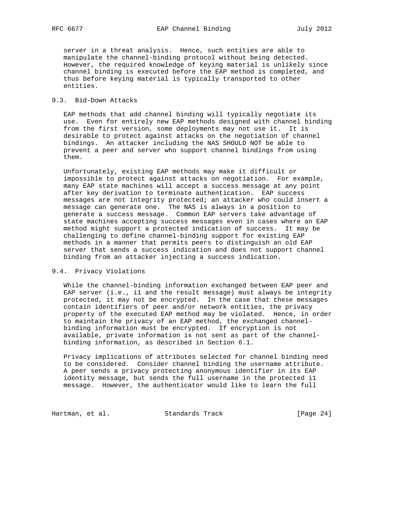server in a threat analysis. Hence, such entities are able to manipulate the channel-binding protocol without being detected. However, the required knowledge of keying material is unlikely since channel binding is executed before the EAP method is completed, and thus before keying material is typically transported to other entities.

### 9.3. Bid-Down Attacks

 EAP methods that add channel binding will typically negotiate its use. Even for entirely new EAP methods designed with channel binding from the first version, some deployments may not use it. It is desirable to protect against attacks on the negotiation of channel bindings. An attacker including the NAS SHOULD NOT be able to prevent a peer and server who support channel bindings from using them.

 Unfortunately, existing EAP methods may make it difficult or impossible to protect against attacks on negotiation. For example, many EAP state machines will accept a success message at any point after key derivation to terminate authentication. EAP success messages are not integrity protected; an attacker who could insert a message can generate one. The NAS is always in a position to generate a success message. Common EAP servers take advantage of state machines accepting success messages even in cases where an EAP method might support a protected indication of success. It may be challenging to define channel-binding support for existing EAP methods in a manner that permits peers to distinguish an old EAP server that sends a success indication and does not support channel binding from an attacker injecting a success indication.

### 9.4. Privacy Violations

 While the channel-binding information exchanged between EAP peer and EAP server (i.e., i1 and the result message) must always be integrity protected, it may not be encrypted. In the case that these messages contain identifiers of peer and/or network entities, the privacy property of the executed EAP method may be violated. Hence, in order to maintain the privacy of an EAP method, the exchanged channel binding information must be encrypted. If encryption is not available, private information is not sent as part of the channel binding information, as described in Section 6.1.

 Privacy implications of attributes selected for channel binding need to be considered. Consider channel binding the username attribute. A peer sends a privacy protecting anonymous identifier in its EAP identity message, but sends the full username in the protected i1 message. However, the authenticator would like to learn the full

Hartman, et al. Standards Track [Page 24]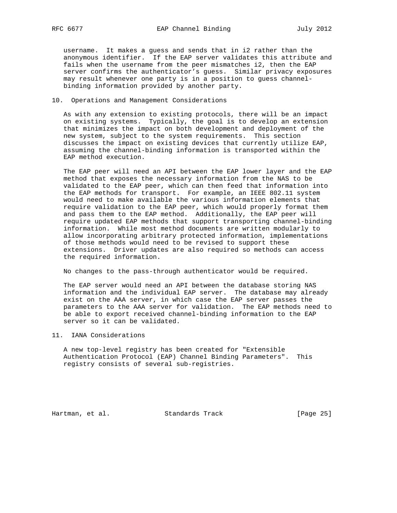username. It makes a guess and sends that in i2 rather than the anonymous identifier. If the EAP server validates this attribute and fails when the username from the peer mismatches i2, then the EAP server confirms the authenticator's guess. Similar privacy exposures may result whenever one party is in a position to guess channel binding information provided by another party.

### 10. Operations and Management Considerations

 As with any extension to existing protocols, there will be an impact on existing systems. Typically, the goal is to develop an extension that minimizes the impact on both development and deployment of the new system, subject to the system requirements. This section discusses the impact on existing devices that currently utilize EAP, assuming the channel-binding information is transported within the EAP method execution.

 The EAP peer will need an API between the EAP lower layer and the EAP method that exposes the necessary information from the NAS to be validated to the EAP peer, which can then feed that information into the EAP methods for transport. For example, an IEEE 802.11 system would need to make available the various information elements that require validation to the EAP peer, which would properly format them and pass them to the EAP method. Additionally, the EAP peer will require updated EAP methods that support transporting channel-binding information. While most method documents are written modularly to allow incorporating arbitrary protected information, implementations of those methods would need to be revised to support these extensions. Driver updates are also required so methods can access the required information.

No changes to the pass-through authenticator would be required.

 The EAP server would need an API between the database storing NAS information and the individual EAP server. The database may already exist on the AAA server, in which case the EAP server passes the parameters to the AAA server for validation. The EAP methods need to be able to export received channel-binding information to the EAP server so it can be validated.

11. IANA Considerations

 A new top-level registry has been created for "Extensible Authentication Protocol (EAP) Channel Binding Parameters". This registry consists of several sub-registries.

Hartman, et al. Standards Track [Page 25]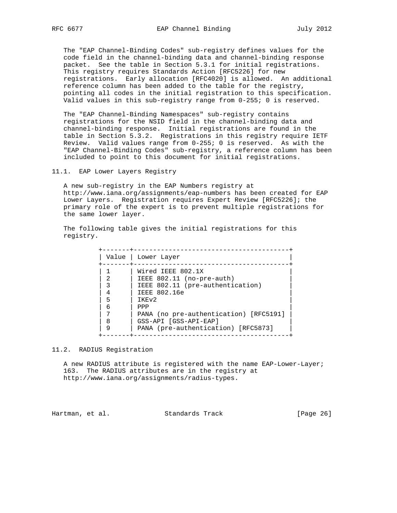The "EAP Channel-Binding Codes" sub-registry defines values for the code field in the channel-binding data and channel-binding response packet. See the table in Section 5.3.1 for initial registrations. This registry requires Standards Action [RFC5226] for new registrations. Early allocation [RFC4020] is allowed. An additional reference column has been added to the table for the registry, pointing all codes in the initial registration to this specification. Valid values in this sub-registry range from 0-255; 0 is reserved.

 The "EAP Channel-Binding Namespaces" sub-registry contains registrations for the NSID field in the channel-binding data and channel-binding response. Initial registrations are found in the table in Section 5.3.2. Registrations in this registry require IETF Review. Valid values range from 0-255; 0 is reserved. As with the "EAP Channel-Binding Codes" sub-registry, a reference column has been included to point to this document for initial registrations.

11.1. EAP Lower Layers Registry

 A new sub-registry in the EAP Numbers registry at http://www.iana.org/assignments/eap-numbers has been created for EAP Lower Layers. Registration requires Expert Review [RFC5226]; the primary role of the expert is to prevent multiple registrations for the same lower layer.

 The following table gives the initial registrations for this registry.

| Value                 | Lower Layer                                                                                                                                                                                                                              |
|-----------------------|------------------------------------------------------------------------------------------------------------------------------------------------------------------------------------------------------------------------------------------|
| 4<br>5<br>6<br>8<br>9 | Wired IEEE 802.1X<br>IEEE 802.11 (no-pre-auth)<br>IEEE 802.11 (pre-authentication)<br>IEEE 802.16e<br>TKEV <sub>2</sub><br>PPP<br>PANA (no pre-authentication) [RFC5191]<br>GSS-API [GSS-API-EAP]<br>PANA (pre-authentication) [RFC5873] |

11.2. RADIUS Registration

 A new RADIUS attribute is registered with the name EAP-Lower-Layer; 163. The RADIUS attributes are in the registry at http://www.iana.org/assignments/radius-types.

Hartman, et al. Standards Track [Page 26]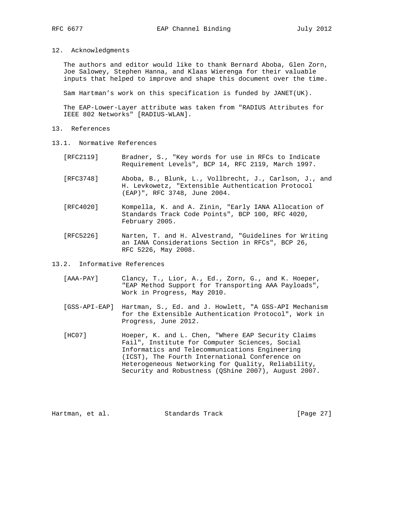12. Acknowledgments

 The authors and editor would like to thank Bernard Aboba, Glen Zorn, Joe Salowey, Stephen Hanna, and Klaas Wierenga for their valuable inputs that helped to improve and shape this document over the time.

Sam Hartman's work on this specification is funded by JANET(UK).

 The EAP-Lower-Layer attribute was taken from "RADIUS Attributes for IEEE 802 Networks" [RADIUS-WLAN].

- 13. References
- 13.1. Normative References
	- [RFC2119] Bradner, S., "Key words for use in RFCs to Indicate Requirement Levels", BCP 14, RFC 2119, March 1997.
	- [RFC3748] Aboba, B., Blunk, L., Vollbrecht, J., Carlson, J., and H. Levkowetz, "Extensible Authentication Protocol (EAP)", RFC 3748, June 2004.
	- [RFC4020] Kompella, K. and A. Zinin, "Early IANA Allocation of Standards Track Code Points", BCP 100, RFC 4020, February 2005.
	- [RFC5226] Narten, T. and H. Alvestrand, "Guidelines for Writing an IANA Considerations Section in RFCs", BCP 26, RFC 5226, May 2008.

13.2. Informative References

- [AAA-PAY] Clancy, T., Lior, A., Ed., Zorn, G., and K. Hoeper, "EAP Method Support for Transporting AAA Payloads", Work in Progress, May 2010.
- [GSS-API-EAP] Hartman, S., Ed. and J. Howlett, "A GSS-API Mechanism for the Extensible Authentication Protocol", Work in Progress, June 2012.
- [HC07] Hoeper, K. and L. Chen, "Where EAP Security Claims Fail", Institute for Computer Sciences, Social Informatics and Telecommunications Engineering (ICST), The Fourth International Conference on Heterogeneous Networking for Quality, Reliability, Security and Robustness (QShine 2007), August 2007.

Hartman, et al. Standards Track [Page 27]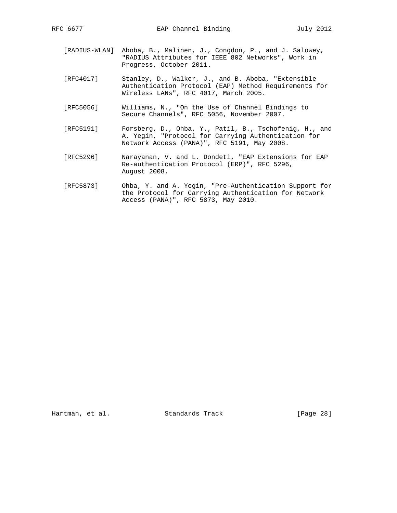- [RADIUS-WLAN] Aboba, B., Malinen, J., Congdon, P., and J. Salowey, "RADIUS Attributes for IEEE 802 Networks", Work in Progress, October 2011.
- [RFC4017] Stanley, D., Walker, J., and B. Aboba, "Extensible Authentication Protocol (EAP) Method Requirements for Wireless LANs", RFC 4017, March 2005.
- [RFC5056] Williams, N., "On the Use of Channel Bindings to Secure Channels", RFC 5056, November 2007.
- [RFC5191] Forsberg, D., Ohba, Y., Patil, B., Tschofenig, H., and A. Yegin, "Protocol for Carrying Authentication for Network Access (PANA)", RFC 5191, May 2008.
- [RFC5296] Narayanan, V. and L. Dondeti, "EAP Extensions for EAP Re-authentication Protocol (ERP)", RFC 5296, August 2008.
- [RFC5873] Ohba, Y. and A. Yegin, "Pre-Authentication Support for the Protocol for Carrying Authentication for Network Access (PANA)", RFC 5873, May 2010.

Hartman, et al. Standards Track [Page 28]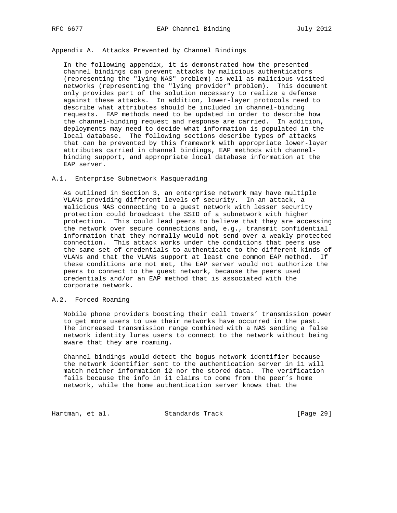## Appendix A. Attacks Prevented by Channel Bindings

 In the following appendix, it is demonstrated how the presented channel bindings can prevent attacks by malicious authenticators (representing the "lying NAS" problem) as well as malicious visited networks (representing the "lying provider" problem). This document only provides part of the solution necessary to realize a defense against these attacks. In addition, lower-layer protocols need to describe what attributes should be included in channel-binding requests. EAP methods need to be updated in order to describe how the channel-binding request and response are carried. In addition, deployments may need to decide what information is populated in the local database. The following sections describe types of attacks that can be prevented by this framework with appropriate lower-layer attributes carried in channel bindings, EAP methods with channel binding support, and appropriate local database information at the EAP server.

### A.1. Enterprise Subnetwork Masquerading

 As outlined in Section 3, an enterprise network may have multiple VLANs providing different levels of security. In an attack, a malicious NAS connecting to a guest network with lesser security protection could broadcast the SSID of a subnetwork with higher protection. This could lead peers to believe that they are accessing the network over secure connections and, e.g., transmit confidential information that they normally would not send over a weakly protected connection. This attack works under the conditions that peers use the same set of credentials to authenticate to the different kinds of VLANs and that the VLANs support at least one common EAP method. If these conditions are not met, the EAP server would not authorize the peers to connect to the guest network, because the peers used credentials and/or an EAP method that is associated with the corporate network.

#### A.2. Forced Roaming

 Mobile phone providers boosting their cell towers' transmission power to get more users to use their networks have occurred in the past. The increased transmission range combined with a NAS sending a false network identity lures users to connect to the network without being aware that they are roaming.

 Channel bindings would detect the bogus network identifier because the network identifier sent to the authentication server in i1 will match neither information i2 nor the stored data. The verification fails because the info in i1 claims to come from the peer's home network, while the home authentication server knows that the

Hartman, et al. Standards Track [Page 29]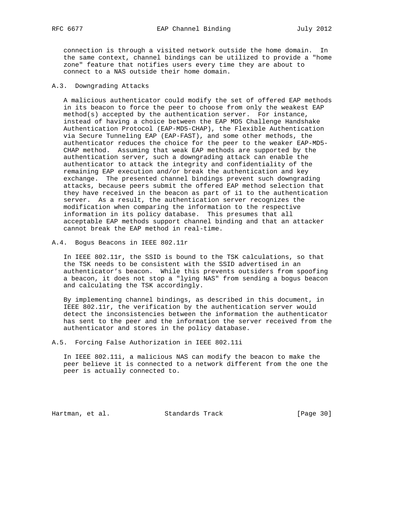connection is through a visited network outside the home domain. In the same context, channel bindings can be utilized to provide a "home zone" feature that notifies users every time they are about to connect to a NAS outside their home domain.

### A.3. Downgrading Attacks

 A malicious authenticator could modify the set of offered EAP methods in its beacon to force the peer to choose from only the weakest EAP method(s) accepted by the authentication server. For instance, instead of having a choice between the EAP MD5 Challenge Handshake Authentication Protocol (EAP-MD5-CHAP), the Flexible Authentication via Secure Tunneling EAP (EAP-FAST), and some other methods, the authenticator reduces the choice for the peer to the weaker EAP-MD5- CHAP method. Assuming that weak EAP methods are supported by the authentication server, such a downgrading attack can enable the authenticator to attack the integrity and confidentiality of the remaining EAP execution and/or break the authentication and key exchange. The presented channel bindings prevent such downgrading attacks, because peers submit the offered EAP method selection that they have received in the beacon as part of i1 to the authentication server. As a result, the authentication server recognizes the modification when comparing the information to the respective information in its policy database. This presumes that all acceptable EAP methods support channel binding and that an attacker cannot break the EAP method in real-time.

A.4. Bogus Beacons in IEEE 802.11r

 In IEEE 802.11r, the SSID is bound to the TSK calculations, so that the TSK needs to be consistent with the SSID advertised in an authenticator's beacon. While this prevents outsiders from spoofing a beacon, it does not stop a "lying NAS" from sending a bogus beacon and calculating the TSK accordingly.

 By implementing channel bindings, as described in this document, in IEEE 802.11r, the verification by the authentication server would detect the inconsistencies between the information the authenticator has sent to the peer and the information the server received from the authenticator and stores in the policy database.

A.5. Forcing False Authorization in IEEE 802.11i

 In IEEE 802.11i, a malicious NAS can modify the beacon to make the peer believe it is connected to a network different from the one the peer is actually connected to.

Hartman, et al. Standards Track [Page 30]